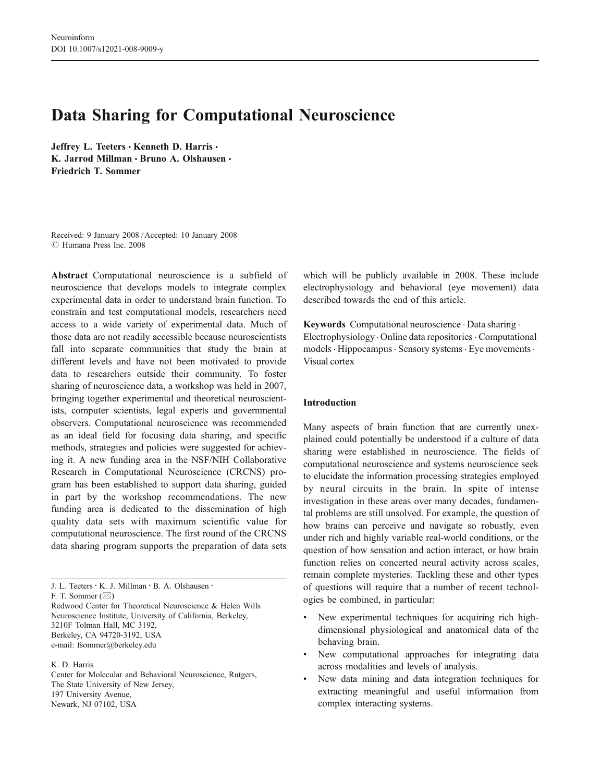# Data Sharing for Computational Neuroscience

Jeffrey L. Teeters · Kenneth D. Harris · K. Jarrod Millman  $\cdot$  Bruno A. Olshausen  $\cdot$ Friedrich T. Sommer

Received: 9 January 2008 /Accepted: 10 January 2008  $\circ$  Humana Press Inc. 2008

Abstract Computational neuroscience is a subfield of neuroscience that develops models to integrate complex experimental data in order to understand brain function. To constrain and test computational models, researchers need access to a wide variety of experimental data. Much of those data are not readily accessible because neuroscientists fall into separate communities that study the brain at different levels and have not been motivated to provide data to researchers outside their community. To foster sharing of neuroscience data, a workshop was held in 2007, bringing together experimental and theoretical neuroscientists, computer scientists, legal experts and governmental observers. Computational neuroscience was recommended as an ideal field for focusing data sharing, and specific methods, strategies and policies were suggested for achieving it. A new funding area in the NSF/NIH Collaborative Research in Computational Neuroscience (CRCNS) program has been established to support data sharing, guided in part by the workshop recommendations. The new funding area is dedicated to the dissemination of high quality data sets with maximum scientific value for computational neuroscience. The first round of the CRCNS data sharing program supports the preparation of data sets

Redwood Center for Theoretical Neuroscience & Helen Wills Neuroscience Institute, University of California, Berkeley, 3210F Tolman Hall, MC 3192, Berkeley, CA 94720-3192, USA e-mail: fsommer@berkeley.edu

#### K. D. Harris

Center for Molecular and Behavioral Neuroscience, Rutgers, The State University of New Jersey, 197 University Avenue, Newark, NJ 07102, USA

which will be publicly available in 2008. These include electrophysiology and behavioral (eye movement) data described towards the end of this article.

Keywords Computational neuroscience . Data sharing . Electrophysiology . Online data repositories. Computational models . Hippocampus. Sensory systems . Eye movements. Visual cortex

# Introduction

Many aspects of brain function that are currently unexplained could potentially be understood if a culture of data sharing were established in neuroscience. The fields of computational neuroscience and systems neuroscience seek to elucidate the information processing strategies employed by neural circuits in the brain. In spite of intense investigation in these areas over many decades, fundamental problems are still unsolved. For example, the question of how brains can perceive and navigate so robustly, even under rich and highly variable real-world conditions, or the question of how sensation and action interact, or how brain function relies on concerted neural activity across scales, remain complete mysteries. Tackling these and other types of questions will require that a number of recent technologies be combined, in particular:

- New experimental techniques for acquiring rich highdimensional physiological and anatomical data of the behaving brain.
- New computational approaches for integrating data across modalities and levels of analysis.
- New data mining and data integration techniques for extracting meaningful and useful information from complex interacting systems.

J. L. Teeters · K. J. Millman · B. A. Olshausen ·

F. T. Sommer  $(\boxtimes)$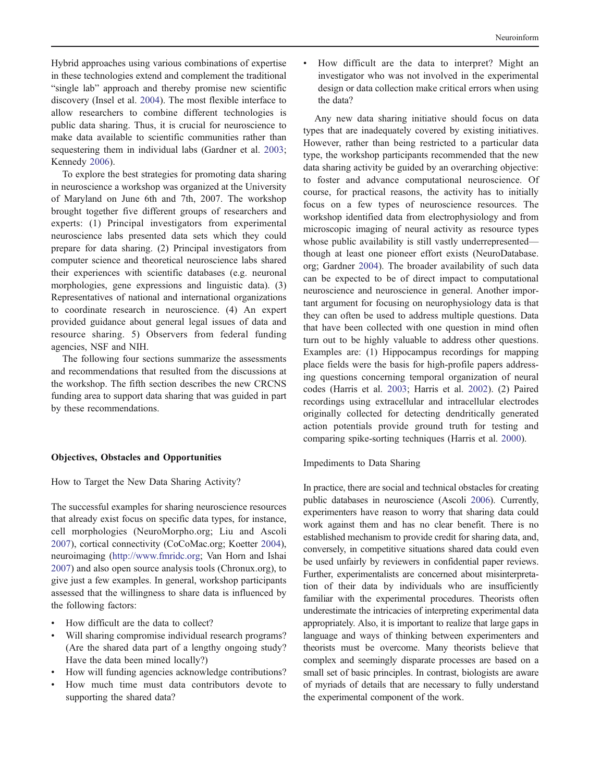Hybrid approaches using various combinations of expertise in these technologies extend and complement the traditional "single lab" approach and thereby promise new scientific discovery (Insel et al. [2004](#page-8-0)). The most flexible interface to allow researchers to combine different technologies is public data sharing. Thus, it is crucial for neuroscience to make data available to scientific communities rather than sequestering them in individual labs (Gardner et al. [2003](#page-7-0); Kennedy [2006](#page-8-0)).

To explore the best strategies for promoting data sharing in neuroscience a workshop was organized at the University of Maryland on June 6th and 7th, 2007. The workshop brought together five different groups of researchers and experts: (1) Principal investigators from experimental neuroscience labs presented data sets which they could prepare for data sharing. (2) Principal investigators from computer science and theoretical neuroscience labs shared their experiences with scientific databases (e.g. neuronal morphologies, gene expressions and linguistic data). (3) Representatives of national and international organizations to coordinate research in neuroscience. (4) An expert provided guidance about general legal issues of data and resource sharing. 5) Observers from federal funding agencies, NSF and NIH.

The following four sections summarize the assessments and recommendations that resulted from the discussions at the workshop. The fifth section describes the new CRCNS funding area to support data sharing that was guided in part by these recommendations.

# Objectives, Obstacles and Opportunities

How to Target the New Data Sharing Activity?

The successful examples for sharing neuroscience resources that already exist focus on specific data types, for instance, cell morphologies (NeuroMorpho.org; Liu and Ascoli [2007](#page-8-0)), cortical connectivity (CoCoMac.org; Koetter [2004](#page-8-0)), neuroimaging [\(http://www.fmridc.org](http://www.fmridc.org); Van Horn and Ishai [2007](#page-8-0)) and also open source analysis tools (Chronux.org), to give just a few examples. In general, workshop participants assessed that the willingness to share data is influenced by the following factors:

- & How difficult are the data to collect?
- Will sharing compromise individual research programs? (Are the shared data part of a lengthy ongoing study? Have the data been mined locally?)
- How will funding agencies acknowledge contributions?
- & How much time must data contributors devote to supporting the shared data?

& How difficult are the data to interpret? Might an investigator who was not involved in the experimental design or data collection make critical errors when using the data?

Any new data sharing initiative should focus on data types that are inadequately covered by existing initiatives. However, rather than being restricted to a particular data type, the workshop participants recommended that the new data sharing activity be guided by an overarching objective: to foster and advance computational neuroscience. Of course, for practical reasons, the activity has to initially focus on a few types of neuroscience resources. The workshop identified data from electrophysiology and from microscopic imaging of neural activity as resource types whose public availability is still vastly underrepresented though at least one pioneer effort exists (NeuroDatabase. org; Gardner [2004](#page-7-0)). The broader availability of such data can be expected to be of direct impact to computational neuroscience and neuroscience in general. Another important argument for focusing on neurophysiology data is that they can often be used to address multiple questions. Data that have been collected with one question in mind often turn out to be highly valuable to address other questions. Examples are: (1) Hippocampus recordings for mapping place fields were the basis for high-profile papers addressing questions concerning temporal organization of neural codes (Harris et al. [2003](#page-7-0); Harris et al. [2002](#page-8-0)). (2) Paired recordings using extracellular and intracellular electrodes originally collected for detecting dendritically generated action potentials provide ground truth for testing and comparing spike-sorting techniques (Harris et al. [2000](#page-8-0)).

# Impediments to Data Sharing

In practice, there are social and technical obstacles for creating public databases in neuroscience (Ascoli [2006](#page-7-0)). Currently, experimenters have reason to worry that sharing data could work against them and has no clear benefit. There is no established mechanism to provide credit for sharing data, and, conversely, in competitive situations shared data could even be used unfairly by reviewers in confidential paper reviews. Further, experimentalists are concerned about misinterpretation of their data by individuals who are insufficiently familiar with the experimental procedures. Theorists often underestimate the intricacies of interpreting experimental data appropriately. Also, it is important to realize that large gaps in language and ways of thinking between experimenters and theorists must be overcome. Many theorists believe that complex and seemingly disparate processes are based on a small set of basic principles. In contrast, biologists are aware of myriads of details that are necessary to fully understand the experimental component of the work.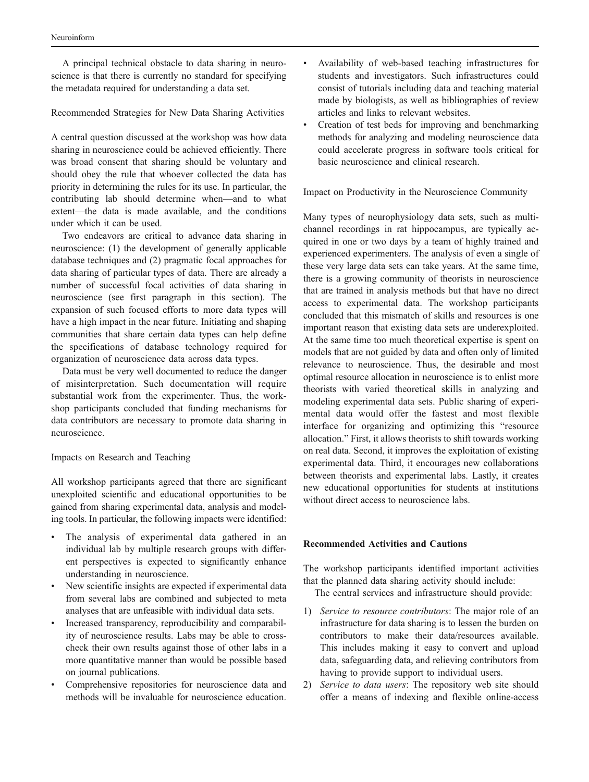A principal technical obstacle to data sharing in neuroscience is that there is currently no standard for specifying the metadata required for understanding a data set.

Recommended Strategies for New Data Sharing Activities

A central question discussed at the workshop was how data sharing in neuroscience could be achieved efficiently. There was broad consent that sharing should be voluntary and should obey the rule that whoever collected the data has priority in determining the rules for its use. In particular, the contributing lab should determine when—and to what extent—the data is made available, and the conditions under which it can be used.

Two endeavors are critical to advance data sharing in neuroscience: (1) the development of generally applicable database techniques and (2) pragmatic focal approaches for data sharing of particular types of data. There are already a number of successful focal activities of data sharing in neuroscience (see first paragraph in this section). The expansion of such focused efforts to more data types will have a high impact in the near future. Initiating and shaping communities that share certain data types can help define the specifications of database technology required for organization of neuroscience data across data types.

Data must be very well documented to reduce the danger of misinterpretation. Such documentation will require substantial work from the experimenter. Thus, the workshop participants concluded that funding mechanisms for data contributors are necessary to promote data sharing in neuroscience.

# Impacts on Research and Teaching

All workshop participants agreed that there are significant unexploited scientific and educational opportunities to be gained from sharing experimental data, analysis and modeling tools. In particular, the following impacts were identified:

- The analysis of experimental data gathered in an individual lab by multiple research groups with different perspectives is expected to significantly enhance understanding in neuroscience.
- & New scientific insights are expected if experimental data from several labs are combined and subjected to meta analyses that are unfeasible with individual data sets.
- Increased transparency, reproducibility and comparability of neuroscience results. Labs may be able to crosscheck their own results against those of other labs in a more quantitative manner than would be possible based on journal publications.
- Comprehensive repositories for neuroscience data and methods will be invaluable for neuroscience education.
- & Availability of web-based teaching infrastructures for students and investigators. Such infrastructures could consist of tutorials including data and teaching material made by biologists, as well as bibliographies of review articles and links to relevant websites.
- Creation of test beds for improving and benchmarking methods for analyzing and modeling neuroscience data could accelerate progress in software tools critical for basic neuroscience and clinical research.

Impact on Productivity in the Neuroscience Community

Many types of neurophysiology data sets, such as multichannel recordings in rat hippocampus, are typically acquired in one or two days by a team of highly trained and experienced experimenters. The analysis of even a single of these very large data sets can take years. At the same time, there is a growing community of theorists in neuroscience that are trained in analysis methods but that have no direct access to experimental data. The workshop participants concluded that this mismatch of skills and resources is one important reason that existing data sets are underexploited. At the same time too much theoretical expertise is spent on models that are not guided by data and often only of limited relevance to neuroscience. Thus, the desirable and most optimal resource allocation in neuroscience is to enlist more theorists with varied theoretical skills in analyzing and modeling experimental data sets. Public sharing of experimental data would offer the fastest and most flexible interface for organizing and optimizing this "resource allocation." First, it allows theorists to shift towards working on real data. Second, it improves the exploitation of existing experimental data. Third, it encourages new collaborations between theorists and experimental labs. Lastly, it creates new educational opportunities for students at institutions without direct access to neuroscience labs.

# Recommended Activities and Cautions

The workshop participants identified important activities that the planned data sharing activity should include:

The central services and infrastructure should provide:

- 1) Service to resource contributors: The major role of an infrastructure for data sharing is to lessen the burden on contributors to make their data/resources available. This includes making it easy to convert and upload data, safeguarding data, and relieving contributors from having to provide support to individual users.
- 2) Service to data users: The repository web site should offer a means of indexing and flexible online-access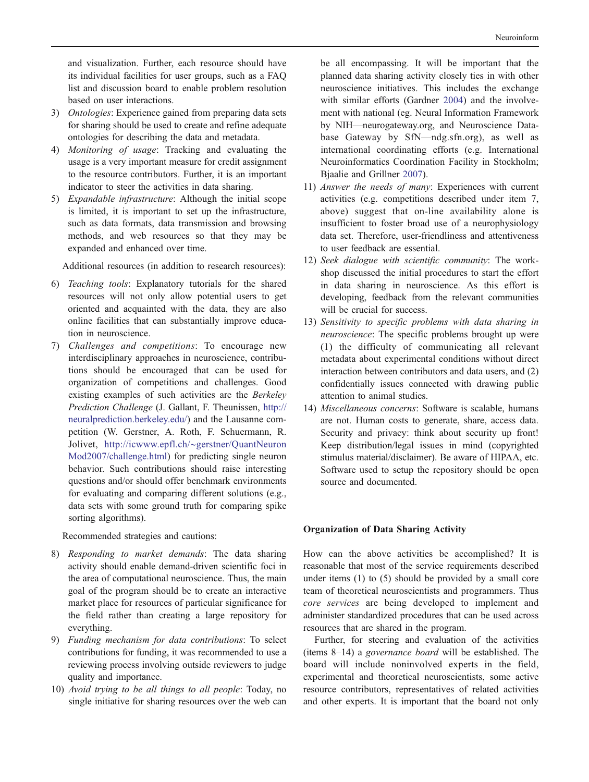and visualization. Further, each resource should have its individual facilities for user groups, such as a FAQ list and discussion board to enable problem resolution based on user interactions.

- 3) Ontologies: Experience gained from preparing data sets for sharing should be used to create and refine adequate ontologies for describing the data and metadata.
- 4) Monitoring of usage: Tracking and evaluating the usage is a very important measure for credit assignment to the resource contributors. Further, it is an important indicator to steer the activities in data sharing.
- 5) Expandable infrastructure: Although the initial scope is limited, it is important to set up the infrastructure, such as data formats, data transmission and browsing methods, and web resources so that they may be expanded and enhanced over time.

Additional resources (in addition to research resources):

- 6) Teaching tools: Explanatory tutorials for the shared resources will not only allow potential users to get oriented and acquainted with the data, they are also online facilities that can substantially improve education in neuroscience.
- 7) Challenges and competitions: To encourage new interdisciplinary approaches in neuroscience, contributions should be encouraged that can be used for organization of competitions and challenges. Good existing examples of such activities are the Berkeley Prediction Challenge (J. Gallant, F. Theunissen, [http://](http://neuralprediction.berkeley.edu/) [neuralprediction.berkeley.edu/](http://neuralprediction.berkeley.edu/)) and the Lausanne competition (W. Gerstner, A. Roth, F. Schuermann, R. Jolivet, http://icwww.epfl.ch/∼gerstner/QuantNeuron Mod2007/challenge.html) for predicting single neuron behavior. Such contributions should raise interesting questions and/or should offer benchmark environments for evaluating and comparing different solutions (e.g., data sets with some ground truth for comparing spike sorting algorithms).

Recommended strategies and cautions:

- 8) Responding to market demands: The data sharing activity should enable demand-driven scientific foci in the area of computational neuroscience. Thus, the main goal of the program should be to create an interactive market place for resources of particular significance for the field rather than creating a large repository for everything.
- 9) Funding mechanism for data contributions: To select contributions for funding, it was recommended to use a reviewing process involving outside reviewers to judge quality and importance.
- 10) Avoid trying to be all things to all people: Today, no single initiative for sharing resources over the web can

be all encompassing. It will be important that the planned data sharing activity closely ties in with other neuroscience initiatives. This includes the exchange with similar efforts (Gardner [2004](#page-7-0)) and the involvement with national (eg. Neural Information Framework by NIH—neurogateway.org, and Neuroscience Database Gateway by SfN—ndg.sfn.org), as well as international coordinating efforts (e.g. International Neuroinformatics Coordination Facility in Stockholm; Bjaalie and Grillner [2007](#page-7-0)).

- 11) Answer the needs of many: Experiences with current activities (e.g. competitions described under item 7, above) suggest that on-line availability alone is insufficient to foster broad use of a neurophysiology data set. Therefore, user-friendliness and attentiveness to user feedback are essential.
- 12) Seek dialogue with scientific community: The workshop discussed the initial procedures to start the effort in data sharing in neuroscience. As this effort is developing, feedback from the relevant communities will be crucial for success.
- 13) Sensitivity to specific problems with data sharing in neuroscience: The specific problems brought up were (1) the difficulty of communicating all relevant metadata about experimental conditions without direct interaction between contributors and data users, and (2) confidentially issues connected with drawing public attention to animal studies.
- 14) Miscellaneous concerns: Software is scalable, humans are not. Human costs to generate, share, access data. Security and privacy: think about security up front! Keep distribution/legal issues in mind (copyrighted stimulus material/disclaimer). Be aware of HIPAA, etc. Software used to setup the repository should be open source and documented.

# Organization of Data Sharing Activity

How can the above activities be accomplished? It is reasonable that most of the service requirements described under items (1) to (5) should be provided by a small core team of theoretical neuroscientists and programmers. Thus core services are being developed to implement and administer standardized procedures that can be used across resources that are shared in the program.

Further, for steering and evaluation of the activities (items 8–14) a governance board will be established. The board will include noninvolved experts in the field, experimental and theoretical neuroscientists, some active resource contributors, representatives of related activities and other experts. It is important that the board not only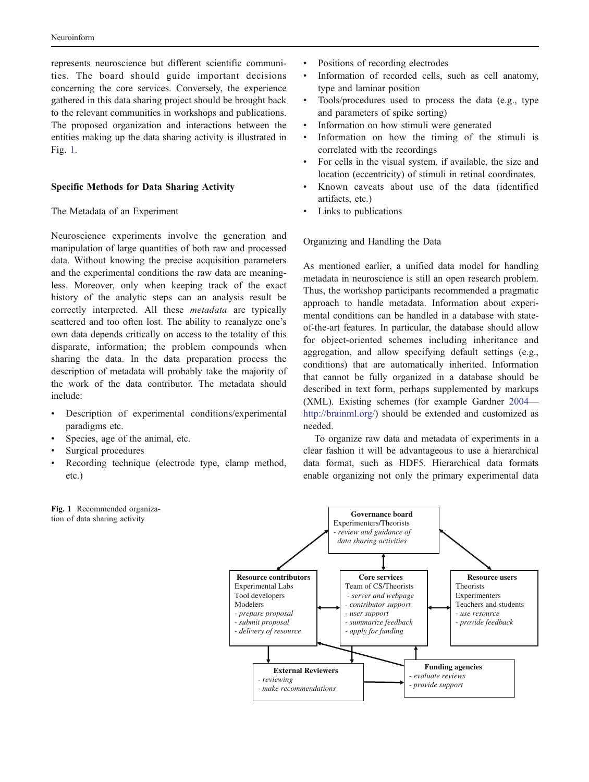represents neuroscience but different scientific communities. The board should guide important decisions concerning the core services. Conversely, the experience gathered in this data sharing project should be brought back to the relevant communities in workshops and publications. The proposed organization and interactions between the entities making up the data sharing activity is illustrated in Fig. 1.

# Specific Methods for Data Sharing Activity

#### The Metadata of an Experiment

Neuroscience experiments involve the generation and manipulation of large quantities of both raw and processed data. Without knowing the precise acquisition parameters and the experimental conditions the raw data are meaningless. Moreover, only when keeping track of the exact history of the analytic steps can an analysis result be correctly interpreted. All these metadata are typically scattered and too often lost. The ability to reanalyze one's own data depends critically on access to the totality of this disparate, information; the problem compounds when sharing the data. In the data preparation process the description of metadata will probably take the majority of the work of the data contributor. The metadata should include:

- Description of experimental conditions/experimental paradigms etc.
- Species, age of the animal, etc.
- Surgical procedures

Fig. 1 Recommended organization of data sharing activity

& Recording technique (electrode type, clamp method, etc.)



- Information of recorded cells, such as cell anatomy, type and laminar position
- & Tools/procedures used to process the data (e.g., type and parameters of spike sorting)
- Information on how stimuli were generated
- & Information on how the timing of the stimuli is correlated with the recordings
- & For cells in the visual system, if available, the size and location (eccentricity) of stimuli in retinal coordinates.
- & Known caveats about use of the data (identified artifacts, etc.)
- Links to publications

Organizing and Handling the Data

As mentioned earlier, a unified data model for handling metadata in neuroscience is still an open research problem. Thus, the workshop participants recommended a pragmatic approach to handle metadata. Information about experimental conditions can be handled in a database with stateof-the-art features. In particular, the database should allow for object-oriented schemes including inheritance and aggregation, and allow specifying default settings (e.g., conditions) that are automatically inherited. Information that cannot be fully organized in a database should be described in text form, perhaps supplemented by markups (XML). Existing schemes (for example Gardner [2004](#page-7-0) <http://brainml.org/>) should be extended and customized as needed.

To organize raw data and metadata of experiments in a clear fashion it will be advantageous to use a hierarchical data format, such as HDF5. Hierarchical data formats enable organizing not only the primary experimental data

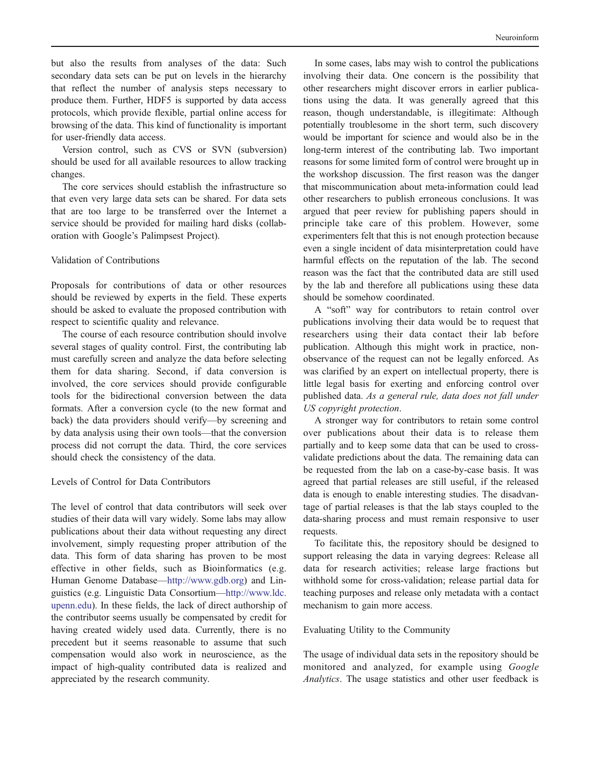but also the results from analyses of the data: Such secondary data sets can be put on levels in the hierarchy that reflect the number of analysis steps necessary to produce them. Further, HDF5 is supported by data access protocols, which provide flexible, partial online access for browsing of the data. This kind of functionality is important for user-friendly data access.

Version control, such as CVS or SVN (subversion) should be used for all available resources to allow tracking changes.

The core services should establish the infrastructure so that even very large data sets can be shared. For data sets that are too large to be transferred over the Internet a service should be provided for mailing hard disks (collaboration with Google's Palimpsest Project).

#### Validation of Contributions

Proposals for contributions of data or other resources should be reviewed by experts in the field. These experts should be asked to evaluate the proposed contribution with respect to scientific quality and relevance.

The course of each resource contribution should involve several stages of quality control. First, the contributing lab must carefully screen and analyze the data before selecting them for data sharing. Second, if data conversion is involved, the core services should provide configurable tools for the bidirectional conversion between the data formats. After a conversion cycle (to the new format and back) the data providers should verify—by screening and by data analysis using their own tools—that the conversion process did not corrupt the data. Third, the core services should check the consistency of the data.

# Levels of Control for Data Contributors

The level of control that data contributors will seek over studies of their data will vary widely. Some labs may allow publications about their data without requesting any direct involvement, simply requesting proper attribution of the data. This form of data sharing has proven to be most effective in other fields, such as Bioinformatics (e.g. Human Genome Database—<http://www.gdb.org>) and Linguistics (e.g. Linguistic Data Consortium—[http://www.ldc.](http://www.ldc.upenn.edu) [upenn.edu](http://www.ldc.upenn.edu)). In these fields, the lack of direct authorship of the contributor seems usually be compensated by credit for having created widely used data. Currently, there is no precedent but it seems reasonable to assume that such compensation would also work in neuroscience, as the impact of high-quality contributed data is realized and appreciated by the research community.

In some cases, labs may wish to control the publications involving their data. One concern is the possibility that other researchers might discover errors in earlier publications using the data. It was generally agreed that this reason, though understandable, is illegitimate: Although potentially troublesome in the short term, such discovery would be important for science and would also be in the long-term interest of the contributing lab. Two important reasons for some limited form of control were brought up in the workshop discussion. The first reason was the danger that miscommunication about meta-information could lead other researchers to publish erroneous conclusions. It was argued that peer review for publishing papers should in principle take care of this problem. However, some experimenters felt that this is not enough protection because even a single incident of data misinterpretation could have harmful effects on the reputation of the lab. The second reason was the fact that the contributed data are still used by the lab and therefore all publications using these data should be somehow coordinated.

A "soft" way for contributors to retain control over publications involving their data would be to request that researchers using their data contact their lab before publication. Although this might work in practice, nonobservance of the request can not be legally enforced. As was clarified by an expert on intellectual property, there is little legal basis for exerting and enforcing control over published data. As a general rule, data does not fall under US copyright protection.

A stronger way for contributors to retain some control over publications about their data is to release them partially and to keep some data that can be used to crossvalidate predictions about the data. The remaining data can be requested from the lab on a case-by-case basis. It was agreed that partial releases are still useful, if the released data is enough to enable interesting studies. The disadvantage of partial releases is that the lab stays coupled to the data-sharing process and must remain responsive to user requests.

To facilitate this, the repository should be designed to support releasing the data in varying degrees: Release all data for research activities; release large fractions but withhold some for cross-validation; release partial data for teaching purposes and release only metadata with a contact mechanism to gain more access.

# Evaluating Utility to the Community

The usage of individual data sets in the repository should be monitored and analyzed, for example using Google Analytics. The usage statistics and other user feedback is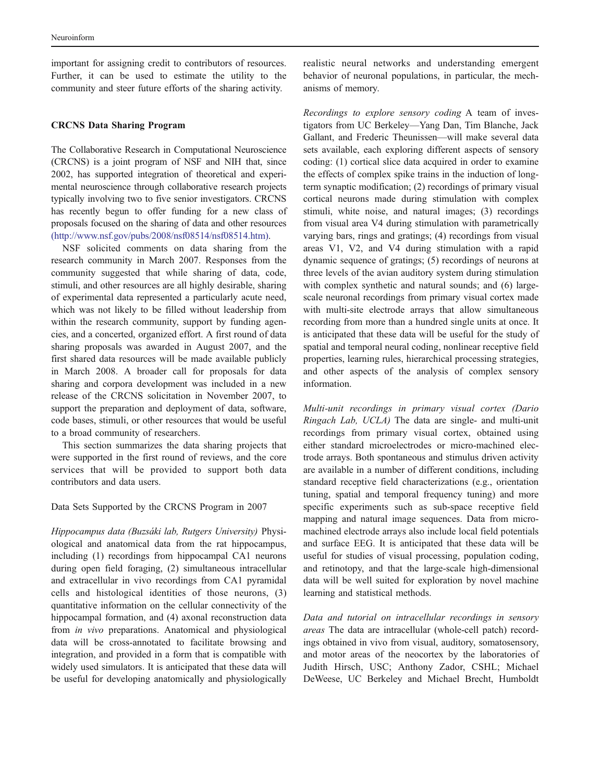important for assigning credit to contributors of resources. Further, it can be used to estimate the utility to the community and steer future efforts of the sharing activity.

#### CRCNS Data Sharing Program

The Collaborative Research in Computational Neuroscience (CRCNS) is a joint program of NSF and NIH that, since 2002, has supported integration of theoretical and experimental neuroscience through collaborative research projects typically involving two to five senior investigators. CRCNS has recently begun to offer funding for a new class of proposals focused on the sharing of data and other resources [\(http://www.nsf.gov/pubs/2008/nsf08514/nsf08514.htm\)](http://www.nsf.gov/pubs/2008/nsf08514/nsf08514.htm)).

NSF solicited comments on data sharing from the research community in March 2007. Responses from the community suggested that while sharing of data, code, stimuli, and other resources are all highly desirable, sharing of experimental data represented a particularly acute need, which was not likely to be filled without leadership from within the research community, support by funding agencies, and a concerted, organized effort. A first round of data sharing proposals was awarded in August 2007, and the first shared data resources will be made available publicly in March 2008. A broader call for proposals for data sharing and corpora development was included in a new release of the CRCNS solicitation in November 2007, to support the preparation and deployment of data, software, code bases, stimuli, or other resources that would be useful to a broad community of researchers.

This section summarizes the data sharing projects that were supported in the first round of reviews, and the core services that will be provided to support both data contributors and data users.

#### Data Sets Supported by the CRCNS Program in 2007

Hippocampus data (Buzsáki lab, Rutgers University) Physiological and anatomical data from the rat hippocampus, including (1) recordings from hippocampal CA1 neurons during open field foraging, (2) simultaneous intracellular and extracellular in vivo recordings from CA1 pyramidal cells and histological identities of those neurons, (3) quantitative information on the cellular connectivity of the hippocampal formation, and (4) axonal reconstruction data from in vivo preparations. Anatomical and physiological data will be cross-annotated to facilitate browsing and integration, and provided in a form that is compatible with widely used simulators. It is anticipated that these data will be useful for developing anatomically and physiologically realistic neural networks and understanding emergent behavior of neuronal populations, in particular, the mechanisms of memory.

Recordings to explore sensory coding A team of investigators from UC Berkeley—Yang Dan, Tim Blanche, Jack Gallant, and Frederic Theunissen—will make several data sets available, each exploring different aspects of sensory coding: (1) cortical slice data acquired in order to examine the effects of complex spike trains in the induction of longterm synaptic modification; (2) recordings of primary visual cortical neurons made during stimulation with complex stimuli, white noise, and natural images; (3) recordings from visual area V4 during stimulation with parametrically varying bars, rings and gratings; (4) recordings from visual areas V1, V2, and V4 during stimulation with a rapid dynamic sequence of gratings; (5) recordings of neurons at three levels of the avian auditory system during stimulation with complex synthetic and natural sounds; and (6) largescale neuronal recordings from primary visual cortex made with multi-site electrode arrays that allow simultaneous recording from more than a hundred single units at once. It is anticipated that these data will be useful for the study of spatial and temporal neural coding, nonlinear receptive field properties, learning rules, hierarchical processing strategies, and other aspects of the analysis of complex sensory information.

Multi-unit recordings in primary visual cortex (Dario Ringach Lab, UCLA) The data are single- and multi-unit recordings from primary visual cortex, obtained using either standard microelectrodes or micro-machined electrode arrays. Both spontaneous and stimulus driven activity are available in a number of different conditions, including standard receptive field characterizations (e.g., orientation tuning, spatial and temporal frequency tuning) and more specific experiments such as sub-space receptive field mapping and natural image sequences. Data from micromachined electrode arrays also include local field potentials and surface EEG. It is anticipated that these data will be useful for studies of visual processing, population coding, and retinotopy, and that the large-scale high-dimensional data will be well suited for exploration by novel machine learning and statistical methods.

Data and tutorial on intracellular recordings in sensory areas The data are intracellular (whole-cell patch) recordings obtained in vivo from visual, auditory, somatosensory, and motor areas of the neocortex by the laboratories of Judith Hirsch, USC; Anthony Zador, CSHL; Michael DeWeese, UC Berkeley and Michael Brecht, Humboldt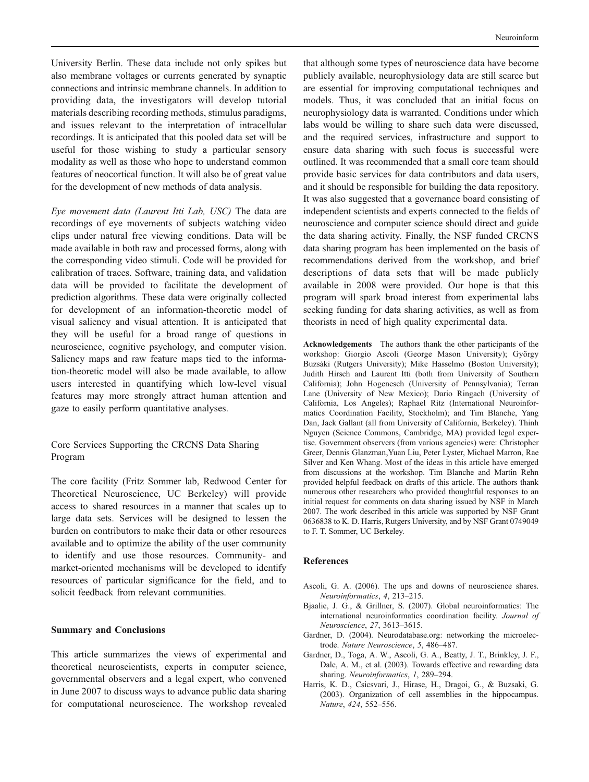<span id="page-7-0"></span>University Berlin. These data include not only spikes but also membrane voltages or currents generated by synaptic connections and intrinsic membrane channels. In addition to providing data, the investigators will develop tutorial materials describing recording methods, stimulus paradigms, and issues relevant to the interpretation of intracellular recordings. It is anticipated that this pooled data set will be useful for those wishing to study a particular sensory modality as well as those who hope to understand common features of neocortical function. It will also be of great value for the development of new methods of data analysis.

Eye movement data (Laurent Itti Lab, USC) The data are recordings of eye movements of subjects watching video clips under natural free viewing conditions. Data will be made available in both raw and processed forms, along with the corresponding video stimuli. Code will be provided for calibration of traces. Software, training data, and validation data will be provided to facilitate the development of prediction algorithms. These data were originally collected for development of an information-theoretic model of visual saliency and visual attention. It is anticipated that they will be useful for a broad range of questions in neuroscience, cognitive psychology, and computer vision. Saliency maps and raw feature maps tied to the information-theoretic model will also be made available, to allow users interested in quantifying which low-level visual features may more strongly attract human attention and gaze to easily perform quantitative analyses.

Core Services Supporting the CRCNS Data Sharing Program

The core facility (Fritz Sommer lab, Redwood Center for Theoretical Neuroscience, UC Berkeley) will provide access to shared resources in a manner that scales up to large data sets. Services will be designed to lessen the burden on contributors to make their data or other resources available and to optimize the ability of the user community to identify and use those resources. Community- and market-oriented mechanisms will be developed to identify resources of particular significance for the field, and to solicit feedback from relevant communities.

# Summary and Conclusions

This article summarizes the views of experimental and theoretical neuroscientists, experts in computer science, governmental observers and a legal expert, who convened in June 2007 to discuss ways to advance public data sharing for computational neuroscience. The workshop revealed

that although some types of neuroscience data have become publicly available, neurophysiology data are still scarce but are essential for improving computational techniques and models. Thus, it was concluded that an initial focus on neurophysiology data is warranted. Conditions under which labs would be willing to share such data were discussed, and the required services, infrastructure and support to ensure data sharing with such focus is successful were outlined. It was recommended that a small core team should provide basic services for data contributors and data users, and it should be responsible for building the data repository. It was also suggested that a governance board consisting of independent scientists and experts connected to the fields of neuroscience and computer science should direct and guide the data sharing activity. Finally, the NSF funded CRCNS data sharing program has been implemented on the basis of recommendations derived from the workshop, and brief descriptions of data sets that will be made publicly available in 2008 were provided. Our hope is that this program will spark broad interest from experimental labs seeking funding for data sharing activities, as well as from theorists in need of high quality experimental data.

Acknowledgements The authors thank the other participants of the workshop: Giorgio Ascoli (George Mason University); György Buzsáki (Rutgers University); Mike Hasselmo (Boston University); Judith Hirsch and Laurent Itti (both from University of Southern California); John Hogenesch (University of Pennsylvania); Terran Lane (University of New Mexico); Dario Ringach (University of California, Los Angeles); Raphael Ritz (International Neuroinformatics Coordination Facility, Stockholm); and Tim Blanche, Yang Dan, Jack Gallant (all from University of California, Berkeley). Thinh Nguyen (Science Commons, Cambridge, MA) provided legal expertise. Government observers (from various agencies) were: Christopher Greer, Dennis Glanzman,Yuan Liu, Peter Lyster, Michael Marron, Rae Silver and Ken Whang. Most of the ideas in this article have emerged from discussions at the workshop. Tim Blanche and Martin Rehn provided helpful feedback on drafts of this article. The authors thank numerous other researchers who provided thoughtful responses to an initial request for comments on data sharing issued by NSF in March 2007. The work described in this article was supported by NSF Grant 0636838 to K. D. Harris, Rutgers University, and by NSF Grant 0749049 to F. T. Sommer, UC Berkeley.

# References

- Ascoli, G. A. (2006). The ups and downs of neuroscience shares. Neuroinformatics, 4, 213–215.
- Bjaalie, J. G., & Grillner, S. (2007). Global neuroinformatics: The international neuroinformatics coordination facility. Journal of Neuroscience, 27, 3613–3615.
- Gardner, D. (2004). Neurodatabase.org: networking the microelectrode. Nature Neuroscience, 5, 486–487.
- Gardner, D., Toga, A. W., Ascoli, G. A., Beatty, J. T., Brinkley, J. F., Dale, A. M., et al. (2003). Towards effective and rewarding data sharing. Neuroinformatics, 1, 289–294.
- Harris, K. D., Csicsvari, J., Hirase, H., Dragoi, G., & Buzsaki, G. (2003). Organization of cell assemblies in the hippocampus. Nature, 424, 552–556.